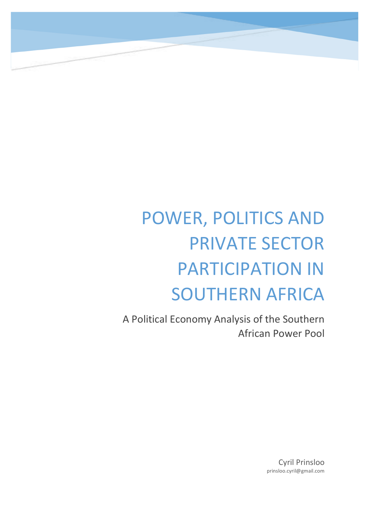# POWER, POLITICS AND **PRIVATE SECTOR PARTICIPATION IN** SOUTHERN AFRICA

A Political Economy Analysis of the Southern African Power Pool

> Cyril Prinsloo prinsloo.cyril@gmail.com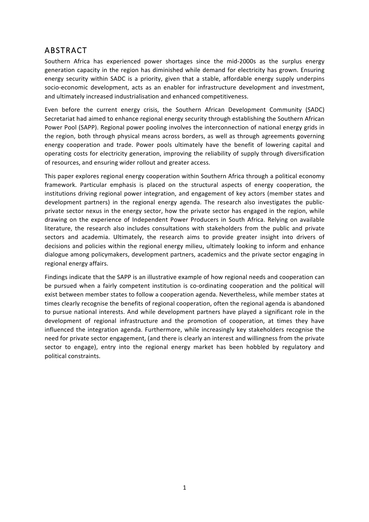### ABSTRACT

Southern Africa has experienced power shortages since the mid-2000s as the surplus energy generation capacity in the region has diminished while demand for electricity has grown. Ensuring energy security within SADC is a priority, given that a stable, affordable energy supply underpins socio-economic development, acts as an enabler for infrastructure development and investment, and ultimately increased industrialisation and enhanced competitiveness.

Even before the current energy crisis, the Southern African Development Community (SADC) Secretariat had aimed to enhance regional energy security through establishing the Southern African Power Pool (SAPP). Regional power pooling involves the interconnection of national energy grids in the region, both through physical means across borders, as well as through agreements governing energy cooperation and trade. Power pools ultimately have the benefit of lowering capital and operating costs for electricity generation, improving the reliability of supply through diversification of resources, and ensuring wider rollout and greater access.

This paper explores regional energy cooperation within Southern Africa through a political economy framework. Particular emphasis is placed on the structural aspects of energy cooperation, the institutions driving regional power integration, and engagement of key actors (member states and development partners) in the regional energy agenda. The research also investigates the publicprivate sector nexus in the energy sector, how the private sector has engaged in the region, while drawing on the experience of Independent Power Producers in South Africa. Relying on available literature, the research also includes consultations with stakeholders from the public and private sectors and academia. Ultimately, the research aims to provide greater insight into drivers of decisions and policies within the regional energy milieu, ultimately looking to inform and enhance dialogue among policymakers, development partners, academics and the private sector engaging in regional energy affairs.

Findings indicate that the SAPP is an illustrative example of how regional needs and cooperation can be pursued when a fairly competent institution is co-ordinating cooperation and the political will exist between member states to follow a cooperation agenda. Nevertheless, while member states at times clearly recognise the benefits of regional cooperation, often the regional agenda is abandoned to pursue national interests. And while development partners have played a significant role in the development of regional infrastructure and the promotion of cooperation, at times they have influenced the integration agenda. Furthermore, while increasingly key stakeholders recognise the need for private sector engagement, (and there is clearly an interest and willingness from the private sector to engage), entry into the regional energy market has been hobbled by regulatory and political constraints.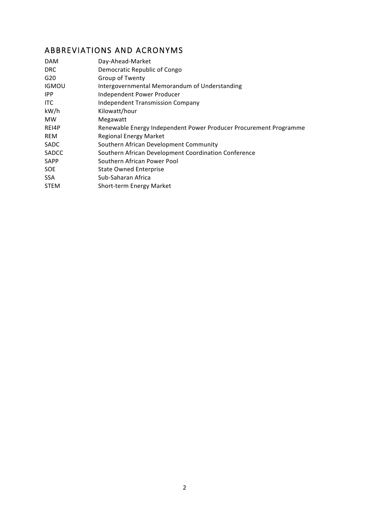# ABBREVIATIONS AND ACRONYMS

| <b>DAM</b>      | Day-Ahead-Market                                                  |
|-----------------|-------------------------------------------------------------------|
| <b>DRC</b>      | Democratic Republic of Congo                                      |
| G <sub>20</sub> | Group of Twenty                                                   |
| <b>IGMOU</b>    | Intergovernmental Memorandum of Understanding                     |
| IPP.            | Independent Power Producer                                        |
| <b>ITC</b>      | <b>Independent Transmission Company</b>                           |
| kW/h            | Kilowatt/hour                                                     |
| <b>MW</b>       | Megawatt                                                          |
| REI4P           | Renewable Energy Independent Power Producer Procurement Programme |
| <b>REM</b>      | <b>Regional Energy Market</b>                                     |
| <b>SADC</b>     | Southern African Development Community                            |
| <b>SADCC</b>    | Southern African Development Coordination Conference              |
| <b>SAPP</b>     | Southern African Power Pool                                       |
| SOE.            | <b>State Owned Enterprise</b>                                     |
| SSA.            | Sub-Saharan Africa                                                |
| <b>STEM</b>     | Short-term Energy Market                                          |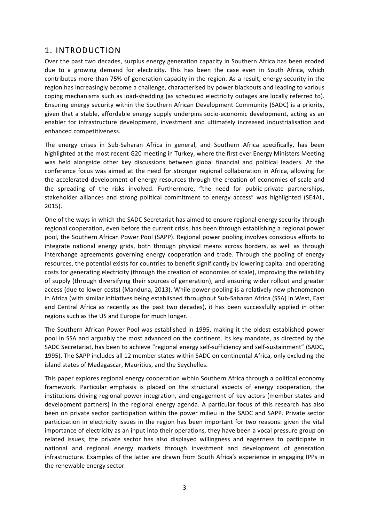#### 1. INTRODUCTION

Over the past two decades, surplus energy generation capacity in Southern Africa has been eroded due to a growing demand for electricity. This has been the case even in South Africa, which contributes more than 75% of generation capacity in the region. As a result, energy security in the region has increasingly become a challenge, characterised by power blackouts and leading to various coping mechanisms such as load-shedding (as scheduled electricity outages are locally referred to). Ensuring energy security within the Southern African Development Community (SADC) is a priority, given that a stable, affordable energy supply underpins socio-economic development, acting as an enabler for infrastructure development, investment and ultimately increased industrialisation and enhanced competitiveness.

The energy crises in Sub-Saharan Africa in general, and Southern Africa specifically, has been highlighted at the most recent G20 meeting in Turkey, where the first ever Energy Ministers Meeting was held alongside other key discussions between global financial and political leaders. At the conference focus was aimed at the need for stronger regional collaboration in Africa, allowing for the accelerated development of energy resources through the creation of economies of scale and the spreading of the risks involved. Furthermore, "the need for public-private partnerships, stakeholder alliances and strong political commitment to energy access" was highlighted (SE4All, 2015).

One of the ways in which the SADC Secretariat has aimed to ensure regional energy security through regional cooperation, even before the current crisis, has been through establishing a regional power pool, the Southern African Power Pool (SAPP). Regional power pooling involves conscious efforts to integrate national energy grids, both through physical means across borders, as well as through interchange agreements governing energy cooperation and trade. Through the pooling of energy resources, the potential exists for countries to benefit significantly by lowering capital and operating costs for generating electricity (through the creation of economies of scale), improving the reliability of supply (through diversifying their sources of generation), and ensuring wider rollout and greater access (due to lower costs) (Manduna, 2013). While power-pooling is a relatively new phenomenon in Africa (with similar initiatives being established throughout Sub-Saharan Africa (SSA) in West, East and Central Africa as recently as the past two decades), it has been successfully applied in other regions such as the US and Europe for much longer.

The Southern African Power Pool was established in 1995, making it the oldest established power pool in SSA and arguably the most advanced on the continent. Its key mandate, as directed by the SADC Secretariat, has been to achieve "regional energy self-sufficiency and self-sustainment" (SADC, 1995). The SAPP includes all 12 member states within SADC on continental Africa, only excluding the island states of Madagascar, Mauritius, and the Seychelles.

This paper explores regional energy cooperation within Southern Africa through a political economy framework. Particular emphasis is placed on the structural aspects of energy cooperation, the institutions driving regional power integration, and engagement of key actors (member states and development partners) in the regional energy agenda. A particular focus of this research has also been on private sector participation within the power milieu in the SADC and SAPP. Private sector participation in electricity issues in the region has been important for two reasons: given the vital importance of electricity as an input into their operations, they have been a vocal pressure group on related issues; the private sector has also displayed willingness and eagerness to participate in national and regional energy markets through investment and development of generation infrastructure. Examples of the latter are drawn from South Africa's experience in engaging IPPs in the renewable energy sector.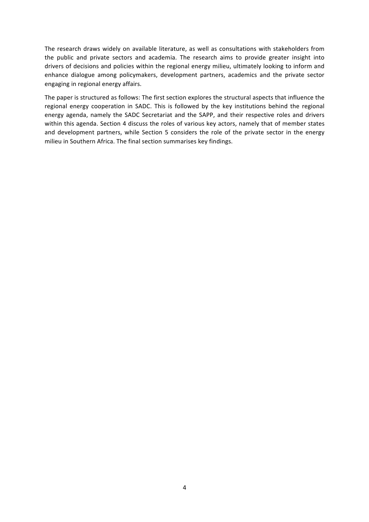The research draws widely on available literature, as well as consultations with stakeholders from the public and private sectors and academia. The research aims to provide greater insight into drivers of decisions and policies within the regional energy milieu, ultimately looking to inform and enhance dialogue among policymakers, development partners, academics and the private sector engaging in regional energy affairs.

The paper is structured as follows: The first section explores the structural aspects that influence the regional energy cooperation in SADC. This is followed by the key institutions behind the regional energy agenda, namely the SADC Secretariat and the SAPP, and their respective roles and drivers within this agenda. Section 4 discuss the roles of various key actors, namely that of member states and development partners, while Section 5 considers the role of the private sector in the energy milieu in Southern Africa. The final section summarises key findings.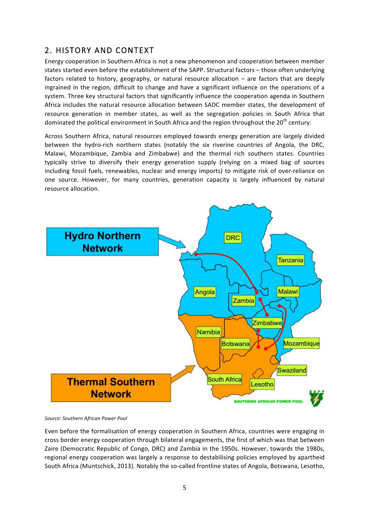## 2. HISTORY AND CONTEXT

Energy cooperation in Southern Africa is not a new phenomenon and cooperation between member states started even before the establishment of the SAPP. Structural factors - those often underlying factors related to history, geography, or natural resource allocation – are factors that are deeply ingrained in the region, difficult to change and have a significant influence on the operations of a system. Three key structural factors that significantly influence the cooperation agenda in Southern Africa includes the natural resource allocation between SADC member states, the development of resource generation in member states, as well as the segregation policies in South Africa that dominated the political environment in South Africa and the region throughout the 20<sup>th</sup> century.

Across Southern Africa, natural resources employed towards energy generation are largely divided between the hydro-rich northern states (notably the six riverine countries of Angola, the DRC, Malawi, Mozambique, Zambia and Zimbabwe) and the thermal rich southern states. Countries typically strive to diversify their energy generation supply (relying on a mixed bag of sources including fossil fuels, renewables, nuclear and energy imports) to mitigate risk of over-reliance on one source. However, for many countries, generation capacity is largely influenced by natural resource allocation.



*Source: Southern African Power Pool*

Even before the formalisation of energy cooperation in Southern Africa, countries were engaging in cross border energy cooperation through bilateral engagements, the first of which was that between Zaire (Democratic Republic of Congo, DRC) and Zambia in the 1950s. However, towards the 1980s, regional energy cooperation was largely a response to destabilising policies employed by apartheid South Africa (Muntschick, 2013). Notably the so-called frontline states of Angola, Botswana, Lesotho,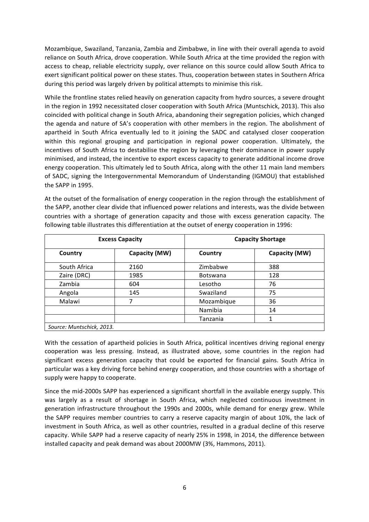Mozambique, Swaziland, Tanzania, Zambia and Zimbabwe, in line with their overall agenda to avoid reliance on South Africa, drove cooperation. While South Africa at the time provided the region with access to cheap, reliable electricity supply, over reliance on this source could allow South Africa to exert significant political power on these states. Thus, cooperation between states in Southern Africa during this period was largely driven by political attempts to minimise this risk.

While the frontline states relied heavily on generation capacity from hydro sources, a severe drought in the region in 1992 necessitated closer cooperation with South Africa (Muntschick, 2013). This also coincided with political change in South Africa, abandoning their segregation policies, which changed the agenda and nature of SA's cooperation with other members in the region. The abolishment of apartheid in South Africa eventually led to it joining the SADC and catalysed closer cooperation within this regional grouping and participation in regional power cooperation. Ultimately, the incentives of South Africa to destabilise the region by leveraging their dominance in power supply minimised, and instead, the incentive to export excess capacity to generate additional income drove energy cooperation. This ultimately led to South Africa, along with the other 11 main land members of SADC, signing the Intergovernmental Memorandum of Understanding (IGMOU) that established the SAPP in 1995.

| <b>Excess Capacity</b> |               | <b>Capacity Shortage</b> |               |  |  |
|------------------------|---------------|--------------------------|---------------|--|--|
| Country                | Capacity (MW) | Country                  | Capacity (MW) |  |  |
| South Africa           | 2160          | Zimbabwe                 | 388           |  |  |
| Zaire (DRC)            | 1985          | <b>Botswana</b>          | 128           |  |  |
| Zambia                 | 604           | Lesotho                  | 76            |  |  |
| Angola                 | 145           | Swaziland                | 75            |  |  |
| Malawi                 | 7             | Mozambique               | 36            |  |  |
|                        |               | Namibia                  | 14            |  |  |
|                        |               | Tanzania                 |               |  |  |

At the outset of the formalisation of energy cooperation in the region through the establishment of the SAPP, another clear divide that influenced power relations and interests, was the divide between countries with a shortage of generation capacity and those with excess generation capacity. The following table illustrates this differentiation at the outset of energy cooperation in 1996:

With the cessation of apartheid policies in South Africa, political incentives driving regional energy cooperation was less pressing. Instead, as illustrated above, some countries in the region had significant excess generation capacity that could be exported for financial gains. South Africa in particular was a key driving force behind energy cooperation, and those countries with a shortage of supply were happy to cooperate.

Since the mid-2000s SAPP has experienced a significant shortfall in the available energy supply. This was largely as a result of shortage in South Africa, which neglected continuous investment in generation infrastructure throughout the 1990s and 2000s, while demand for energy grew. While the SAPP requires member countries to carry a reserve capacity margin of about 10%, the lack of investment in South Africa, as well as other countries, resulted in a gradual decline of this reserve capacity. While SAPP had a reserve capacity of nearly 25% in 1998, in 2014, the difference between installed capacity and peak demand was about 2000MW (3%, Hammons, 2011).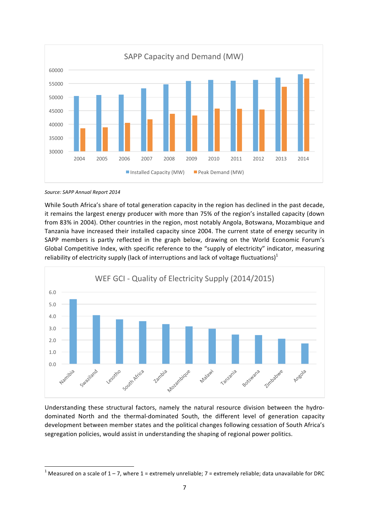

Source: SAPP Annual Report 2014

<u> 1989 - Johann Stein, fransk politiker (d. 1989)</u>

While South Africa's share of total generation capacity in the region has declined in the past decade, it remains the largest energy producer with more than 75% of the region's installed capacity (down from 83% in 2004). Other countries in the region, most notably Angola, Botswana, Mozambique and Tanzania have increased their installed capacity since 2004. The current state of energy security in SAPP members is partly reflected in the graph below, drawing on the World Economic Forum's Global Competitive Index, with specific reference to the "supply of electricity" indicator, measuring reliability of electricity supply (lack of interruptions and lack of voltage fluctuations)<sup>1</sup>



Understanding these structural factors, namely the natural resource division between the hydrodominated North and the thermal-dominated South, the different level of generation capacity development between member states and the political changes following cessation of South Africa's segregation policies, would assist in understanding the shaping of regional power politics.

<sup>&</sup>lt;sup>1</sup> Measured on a scale of  $1 - 7$ , where  $1 =$  extremely unreliable;  $7 =$  extremely reliable; data unavailable for DRC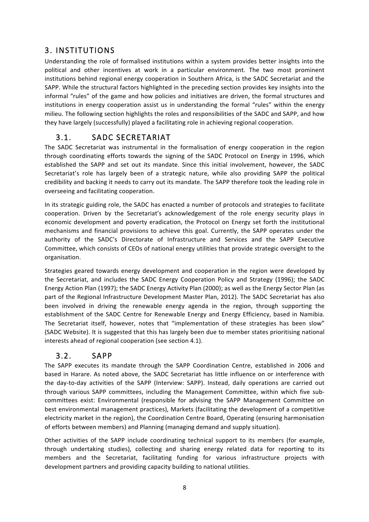## 3. INSTITUTIONS

Understanding the role of formalised institutions within a system provides better insights into the political and other incentives at work in a particular environment. The two most prominent institutions behind regional energy cooperation in Southern Africa, is the SADC Secretariat and the SAPP. While the structural factors highlighted in the preceding section provides key insights into the informal "rules" of the game and how policies and initiatives are driven, the formal structures and institutions in energy cooperation assist us in understanding the formal "rules" within the energy milieu. The following section highlights the roles and responsibilities of the SADC and SAPP, and how they have largely (successfully) played a facilitating role in achieving regional cooperation.

## 3.1. SADC SECRETARIAT

The SADC Secretariat was instrumental in the formalisation of energy cooperation in the region through coordinating efforts towards the signing of the SADC Protocol on Energy in 1996, which established the SAPP and set out its mandate. Since this initial involvement, however, the SADC Secretariat's role has largely been of a strategic nature, while also providing SAPP the political credibility and backing it needs to carry out its mandate. The SAPP therefore took the leading role in overseeing and facilitating cooperation.

In its strategic guiding role, the SADC has enacted a number of protocols and strategies to facilitate cooperation. Driven by the Secretariat's acknowledgement of the role energy security plays in economic development and poverty eradication, the Protocol on Energy set forth the institutional mechanisms and financial provisions to achieve this goal. Currently, the SAPP operates under the authority of the SADC's Directorate of Infrastructure and Services and the SAPP Executive Committee, which consists of CEOs of national energy utilities that provide strategic oversight to the organisation. 

Strategies geared towards energy development and cooperation in the region were developed by the Secretariat, and includes the SADC Energy Cooperation Policy and Strategy (1996); the SADC Energy Action Plan (1997); the SADC Energy Activity Plan (2000); as well as the Energy Sector Plan (as part of the Regional Infrastructure Development Master Plan, 2012). The SADC Secretariat has also been involved in driving the renewable energy agenda in the region, through supporting the establishment of the SADC Centre for Renewable Energy and Energy Efficiency, based in Namibia. The Secretariat itself, however, notes that "implementation of these strategies has been slow" (SADC Website). It is suggested that this has largely been due to member states prioritising national interests ahead of regional cooperation (see section 4.1).

#### 3.2. SAPP

The SAPP executes its mandate through the SAPP Coordination Centre, established in 2006 and based in Harare. As noted above, the SADC Secretariat has little influence on or interference with the day-to-day activities of the SAPP (Interview: SAPP). Instead, daily operations are carried out through various SAPP committees, including the Management Committee, within which five subcommittees exist: Environmental (responsible for advising the SAPP Management Committee on best environmental management practices), Markets (facilitating the development of a competitive electricity market in the region), the Coordination Centre Board, Operating (ensuring harmonisation of efforts between members) and Planning (managing demand and supply situation).

Other activities of the SAPP include coordinating technical support to its members (for example, through undertaking studies), collecting and sharing energy related data for reporting to its members and the Secretariat, facilitating funding for various infrastructure projects with development partners and providing capacity building to national utilities.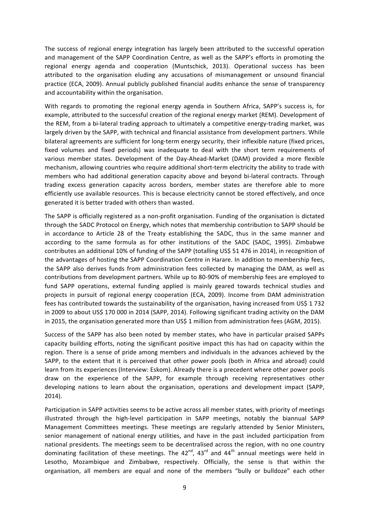The success of regional energy integration has largely been attributed to the successful operation and management of the SAPP Coordination Centre, as well as the SAPP's efforts in promoting the regional energy agenda and cooperation (Muntschick, 2013). Operational success has been attributed to the organisation eluding any accusations of mismanagement or unsound financial practice (ECA, 2009). Annual publicly published financial audits enhance the sense of transparency and accountability within the organisation.

With regards to promoting the regional energy agenda in Southern Africa, SAPP's success is, for example, attributed to the successful creation of the regional energy market (REM). Development of the REM, from a bi-lateral trading approach to ultimately a competitive energy-trading market, was largely driven by the SAPP, with technical and financial assistance from development partners. While bilateral agreements are sufficient for long-term energy security, their inflexible nature (fixed prices, fixed volumes and fixed periods) was inadequate to deal with the short term requirements of various member states. Development of the Day-Ahead-Market (DAM) provided a more flexible mechanism, allowing countries who require additional short-term electricity the ability to trade with members who had additional generation capacity above and beyond bi-lateral contracts. Through trading excess generation capacity across borders, member states are therefore able to more efficiently use available resources. This is because electricity cannot be stored effectively, and once generated it is better traded with others than wasted.

The SAPP is officially registered as a non-profit organisation. Funding of the organisation is dictated through the SADC Protocol on Energy, which notes that membership contribution to SAPP should be in accordance to Article 28 of the Treaty establishing the SADC, thus in the same manner and according to the same formula as for other institutions of the SADC (SADC, 1995). Zimbabwe contributes an additional 10% of funding of the SAPP (totalling US\$ 51 476 in 2014), in recognition of the advantages of hosting the SAPP Coordination Centre in Harare. In addition to membership fees, the SAPP also derives funds from administration fees collected by managing the DAM, as well as contributions from development partners. While up to 80-90% of membership fees are employed to fund SAPP operations, external funding applied is mainly geared towards technical studies and projects in pursuit of regional energy cooperation (ECA, 2009). Income from DAM administration fees has contributed towards the sustainability of the organisation, having increased from US\$ 1 732 in 2009 to about US\$ 170 000 in 2014 (SAPP, 2014). Following significant trading activity on the DAM in 2015, the organisation generated more than US\$ 1 million from administration fees (AGM, 2015).

Success of the SAPP has also been noted by member states, who have in particular praised SAPPs capacity building efforts, noting the significant positive impact this has had on capacity within the region. There is a sense of pride among members and individuals in the advances achieved by the SAPP, to the extent that it is perceived that other power pools (both in Africa and abroad) could learn from its experiences (Interview: Eskom). Already there is a precedent where other power pools draw on the experience of the SAPP, for example through receiving representatives other developing nations to learn about the organisation, operations and development impact (SAPP, 2014).

Participation in SAPP activities seems to be active across all member states, with priority of meetings illustrated through the high-level participation in SAPP meetings, notably the biannual SAPP Management Committees meetings. These meetings are regularly attended by Senior Ministers, senior management of national energy utilities, and have in the past included participation from national presidents. The meetings seem to be decentralised across the region, with no one country dominating facilitation of these meetings. The  $42^{nd}$ ,  $43^{rd}$  and  $44^{th}$  annual meetings were held in Lesotho, Mozambique and Zimbabwe, respectively. Officially, the sense is that within the organisation, all members are equal and none of the members "bully or bulldoze" each other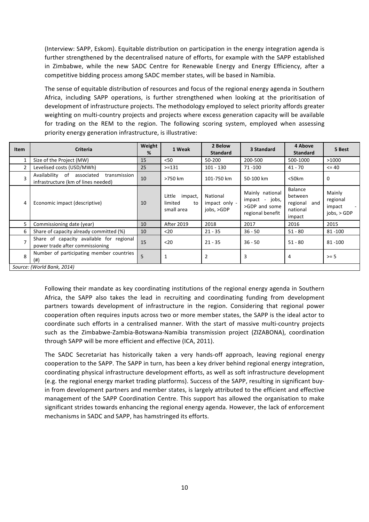(Interview: SAPP, Eskom). Equitable distribution on participation in the energy integration agenda is further strengthened by the decentralised nature of efforts, for example with the SAPP established in Zimbabwe, while the new SADC Centre for Renewable Energy and Energy Efficiency, after a competitive bidding process among SADC member states, will be based in Namibia.

The sense of equitable distribution of resources and focus of the regional energy agenda in Southern Africa, including SAPP operations, is further strengthened when looking at the prioritisation of development of infrastructure projects. The methodology employed to select priority affords greater weighting on multi-country projects and projects where excess generation capacity will be available for trading on the REM to the region. The following scoring system, employed when assessing priority energy generation infrastructure, is illustrative:

| Item                       | Criteria                                                                          | Weight<br>% | 1 Weak                                           | 2 Below<br><b>Standard</b>              | 3 Standard                                                             | 4 Above<br><b>Standard</b>                                  | 5 Best                                         |
|----------------------------|-----------------------------------------------------------------------------------|-------------|--------------------------------------------------|-----------------------------------------|------------------------------------------------------------------------|-------------------------------------------------------------|------------------------------------------------|
|                            | Size of the Project (MW)                                                          | 15          | < 50                                             | 50-200                                  | 200-500                                                                | 500-1000                                                    | >1000                                          |
|                            | Levelised costs (USD/MWh)                                                         | 25          | $> = 131$                                        | $101 - 130$                             | $71 - 100$                                                             | $41 - 70$                                                   | $= 40$                                         |
| 3                          | Availability of associated<br>transmission<br>infrastructure (km of lines needed) | 10          | >750 km                                          | 101-750 km                              | 50-100 km                                                              | $<$ 50 $km$                                                 | 0                                              |
| 4                          | Economic impact (descriptive)                                                     | 10          | impact,<br>Little<br>limited<br>to<br>small area | National<br>impact only -<br>jobs, >GDP | Mainly national<br>impact - jobs,<br>>GDP and some<br>regional benefit | Balance<br>between<br>regional<br>and<br>national<br>impact | Mainly<br>regional<br>impact<br>$i$ obs, > GDP |
| 5                          | Commissioning date (year)                                                         | 10          | <b>After 2019</b>                                | 2018                                    | 2017                                                                   | 2016                                                        | 2015                                           |
| 6                          | Share of capacity already committed (%)                                           | 10          | $20$                                             | $21 - 35$                               | $36 - 50$                                                              | $51 - 80$                                                   | $81 - 100$                                     |
|                            | Share of capacity available for regional<br>power trade after commissioning       | 15          | $20$                                             | $21 - 35$                               | $36 - 50$                                                              | $51 - 80$                                                   | $81 - 100$                                     |
| 8                          | Number of participating member countries<br>(# )                                  | 5           |                                                  | $\overline{2}$                          | 3                                                                      | 4                                                           | $>= 5$                                         |
| Source: (World Bank, 2014) |                                                                                   |             |                                                  |                                         |                                                                        |                                                             |                                                |

Following their mandate as key coordinating institutions of the regional energy agenda in Southern Africa, the SAPP also takes the lead in recruiting and coordinating funding from development partners towards development of infrastructure in the region. Considering that regional power cooperation often requires inputs across two or more member states, the SAPP is the ideal actor to coordinate such efforts in a centralised manner. With the start of massive multi-country projects such as the Zimbabwe-Zambia-Botswana-Namibia transmission project (ZIZABONA), coordination through SAPP will be more efficient and effective (ICA, 2011).

The SADC Secretariat has historically taken a very hands-off approach, leaving regional energy cooperation to the SAPP. The SAPP in turn, has been a key driver behind regional energy integration, coordinating physical infrastructure development efforts, as well as soft infrastructure development (e.g. the regional energy market trading platforms). Success of the SAPP, resulting in significant buyin from development partners and member states, is largely attributed to the efficient and effective management of the SAPP Coordination Centre. This support has allowed the organisation to make significant strides towards enhancing the regional energy agenda. However, the lack of enforcement mechanisms in SADC and SAPP, has hamstringed its efforts.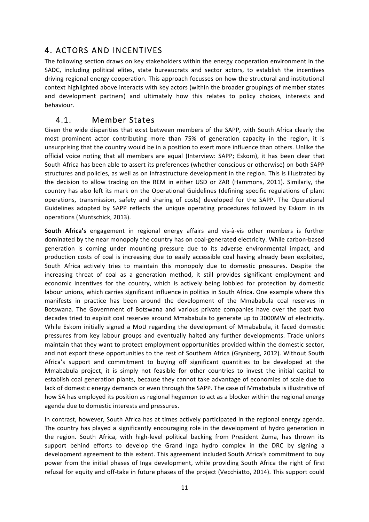## 4. ACTORS AND INCENTIVES

The following section draws on key stakeholders within the energy cooperation environment in the SADC, including political elites, state bureaucrats and sector actors, to establish the incentives driving regional energy cooperation. This approach focusses on how the structural and institutional context highlighted above interacts with key actors (within the broader groupings of member states and development partners) and ultimately how this relates to policy choices, interests and behaviour.

#### 4.1. Member States

Given the wide disparities that exist between members of the SAPP, with South Africa clearly the most prominent actor contributing more than 75% of generation capacity in the region, it is unsurprising that the country would be in a position to exert more influence than others. Unlike the official voice noting that all members are equal (Interview: SAPP; Eskom), it has been clear that South Africa has been able to assert its preferences (whether conscious or otherwise) on both SAPP structures and policies, as well as on infrastructure development in the region. This is illustrated by the decision to allow trading on the REM in either USD or ZAR (Hammons, 2011). Similarly, the country has also left its mark on the Operational Guidelines (defining specific regulations of plant operations, transmission, safety and sharing of costs) developed for the SAPP. The Operational Guidelines adopted by SAPP reflects the unique operating procedures followed by Eskom in its operations (Muntschick, 2013).

**South Africa's** engagement in regional energy affairs and vis-à-vis other members is further dominated by the near monopoly the country has on coal-generated electricity. While carbon-based generation is coming under mounting pressure due to its adverse environmental impact, and production costs of coal is increasing due to easily accessible coal having already been exploited, South Africa actively tries to maintain this monopoly due to domestic pressures. Despite the increasing threat of coal as a generation method, it still provides significant employment and economic incentives for the country, which is actively being lobbied for protection by domestic labour unions, which carries significant influence in politics in South Africa. One example where this manifests in practice has been around the development of the Mmababula coal reserves in Botswana. The Government of Botswana and various private companies have over the past two decades tried to exploit coal reserves around Mmababula to generate up to 3000MW of electricity. While Eskom initially signed a MoU regarding the development of Mmababula, it faced domestic pressures from key labour groups and eventually halted any further developments. Trade unions maintain that they want to protect employment opportunities provided within the domestic sector, and not export these opportunities to the rest of Southern Africa (Grynberg, 2012). Without South Africa's support and commitment to buying off significant quantities to be developed at the Mmababula project, it is simply not feasible for other countries to invest the initial capital to establish coal generation plants, because they cannot take advantage of economies of scale due to lack of domestic energy demands or even through the SAPP. The case of Mmababula is illustrative of how SA has employed its position as regional hegemon to act as a blocker within the regional energy agenda due to domestic interests and pressures.

In contrast, however, South Africa has at times actively participated in the regional energy agenda. The country has played a significantly encouraging role in the development of hydro generation in the region. South Africa, with high-level political backing from President Zuma, has thrown its support behind efforts to develop the Grand Inga hydro complex in the DRC by signing a development agreement to this extent. This agreement included South Africa's commitment to buy power from the initial phases of Inga development, while providing South Africa the right of first refusal for equity and off-take in future phases of the project (Vecchiatto, 2014). This support could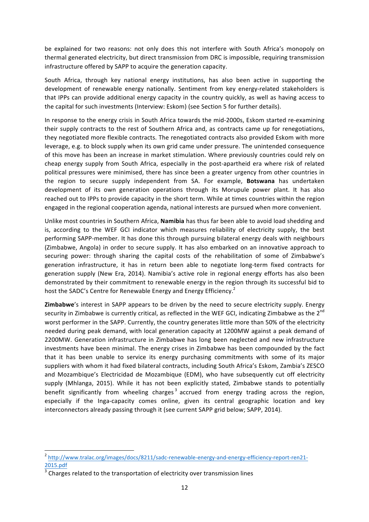be explained for two reasons: not only does this not interfere with South Africa's monopoly on thermal generated electricity, but direct transmission from DRC is impossible, requiring transmission infrastructure offered by SAPP to acquire the generation capacity.

South Africa, through key national energy institutions, has also been active in supporting the development of renewable energy nationally. Sentiment from key energy-related stakeholders is that IPPs can provide additional energy capacity in the country quickly, as well as having access to the capital for such investments (Interview: Eskom) (see Section 5 for further details).

In response to the energy crisis in South Africa towards the mid-2000s, Eskom started re-examining their supply contracts to the rest of Southern Africa and, as contracts came up for renegotiations, they negotiated more flexible contracts. The renegotiated contracts also provided Eskom with more leverage, e.g. to block supply when its own grid came under pressure. The unintended consequence of this move has been an increase in market stimulation. Where previously countries could rely on cheap energy supply from South Africa, especially in the post-apartheid era where risk of related political pressures were minimised, there has since been a greater urgency from other countries in the region to secure supply independent from SA. For example, **Botswana** has undertaken development of its own generation operations through its Morupule power plant. It has also reached out to IPPs to provide capacity in the short term. While at times countries within the region engaged in the regional cooperation agenda, national interests are pursued when more convenient.

Unlike most countries in Southern Africa, **Namibia** has thus far been able to avoid load shedding and is, according to the WEF GCI indicator which measures reliability of electricity supply, the best performing SAPP-member. It has done this through pursuing bilateral energy deals with neighbours (Zimbabwe, Angola) in order to secure supply. It has also embarked on an innovative approach to securing power: through sharing the capital costs of the rehabilitation of some of Zimbabwe's generation infrastructure, it has in return been able to negotiate long-term fixed contracts for generation supply (New Era, 2014). Namibia's active role in regional energy efforts has also been demonstrated by their commitment to renewable energy in the region through its successful bid to host the SADC's Centre for Renewable Energy and Energy Efficiency.<sup>2</sup>

**Zimbabwe**'s interest in SAPP appears to be driven by the need to secure electricity supply. Energy security in Zimbabwe is currently critical, as reflected in the WEF GCI, indicating Zimbabwe as the  $2^{nd}$ worst performer in the SAPP. Currently, the country generates little more than 50% of the electricity needed during peak demand, with local generation capacity at 1200MW against a peak demand of 2200MW. Generation infrastructure in Zimbabwe has long been neglected and new infrastructure investments have been minimal. The energy crises in Zimbabwe has been compounded by the fact that it has been unable to service its energy purchasing commitments with some of its major suppliers with whom it had fixed bilateral contracts, including South Africa's Eskom, Zambia's ZESCO and Mozambique's Electricidad de Mozambique (EDM), who have subsequently cut off electricity supply (Mhlanga, 2015). While it has not been explicitly stated, Zimbabwe stands to potentially benefit significantly from wheeling charges<sup>3</sup> accrued from energy trading across the region, especially if the Inga-capacity comes online, given its central geographic location and key interconnectors already passing through it (see current SAPP grid below; SAPP, 2014).

<u> 1989 - Johann Stein, fransk politiker (d. 1989)</u>

<sup>&</sup>lt;sup>2</sup> http://www.tralac.org/images/docs/8211/sadc-renewable-energy-and-energy-efficiency-report-ren21-2015.pdf

Charges related to the transportation of electricity over transmission lines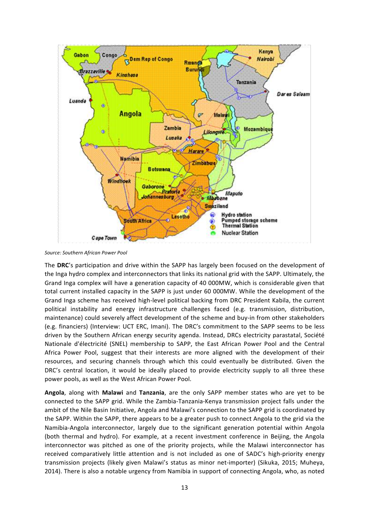

*Source: Southern African Power Pool*

The DRC's participation and drive within the SAPP has largely been focused on the development of the Inga hydro complex and interconnectors that links its national grid with the SAPP. Ultimately, the Grand Inga complex will have a generation capacity of 40 000MW, which is considerable given that total current installed capacity in the SAPP is just under 60 000MW. While the development of the Grand Inga scheme has received high-level political backing from DRC President Kabila, the current political instability and energy infrastructure challenges faced (e.g. transmission, distribution, maintenance) could severely affect development of the scheme and buy-in from other stakeholders (e.g. financiers) (Interview: UCT ERC, Imani). The DRC's commitment to the SAPP seems to be less driven by the Southern African energy security agenda. Instead, DRCs electricity parastatal, Société Nationale d'électricité (SNEL) membership to SAPP, the East African Power Pool and the Central Africa Power Pool, suggest that their interests are more aligned with the development of their resources, and securing channels through which this could eventually be distributed. Given the DRC's central location, it would be ideally placed to provide electricity supply to all three these power pools, as well as the West African Power Pool.

**Angola**, along with **Malawi** and Tanzania, are the only SAPP member states who are yet to be connected to the SAPP grid. While the Zambia-Tanzania-Kenya transmission project falls under the ambit of the Nile Basin Initiative, Angola and Malawi's connection to the SAPP grid is coordinated by the SAPP. Within the SAPP, there appears to be a greater push to connect Angola to the grid via the Namibia-Angola interconnector, largely due to the significant generation potential within Angola (both thermal and hydro). For example, at a recent investment conference in Beijing, the Angola interconnector was pitched as one of the priority projects, while the Malawi interconnector has received comparatively little attention and is not included as one of SADC's high-priority energy transmission projects (likely given Malawi's status as minor net-importer) (Sikuka, 2015; Muheya, 2014). There is also a notable urgency from Namibia in support of connecting Angola, who, as noted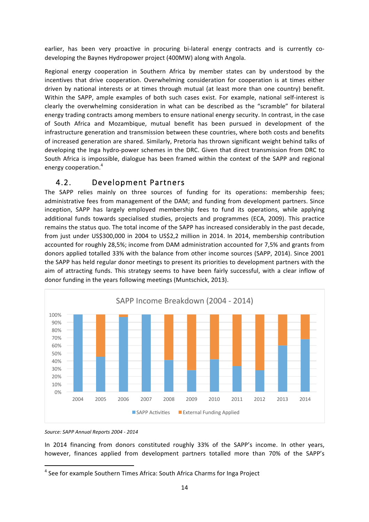earlier, has been very proactive in procuring bi-lateral energy contracts and is currently codeveloping the Baynes Hydropower project (400MW) along with Angola.

Regional energy cooperation in Southern Africa by member states can by understood by the incentives that drive cooperation. Overwhelming consideration for cooperation is at times either driven by national interests or at times through mutual (at least more than one country) benefit. Within the SAPP, ample examples of both such cases exist. For example, national self-interest is clearly the overwhelming consideration in what can be described as the "scramble" for bilateral energy trading contracts among members to ensure national energy security. In contrast, in the case of South Africa and Mozambique, mutual benefit has been pursued in development of the infrastructure generation and transmission between these countries, where both costs and benefits of increased generation are shared. Similarly, Pretoria has thrown significant weight behind talks of developing the Inga hydro-power schemes in the DRC. Given that direct transmission from DRC to South Africa is impossible, dialogue has been framed within the context of the SAPP and regional energy cooperation.<sup>4</sup>

#### 4.2. Development Partners

The SAPP relies mainly on three sources of funding for its operations: membership fees; administrative fees from management of the DAM; and funding from development partners. Since inception, SAPP has largely employed membership fees to fund its operations, while applying additional funds towards specialised studies, projects and programmes (ECA, 2009). This practice remains the status quo. The total income of the SAPP has increased considerably in the past decade, from just under US\$300,000 in 2004 to US\$2,2 million in 2014. In 2014, membership contribution accounted for roughly 28,5%; income from DAM administration accounted for 7,5% and grants from donors applied totalled 33% with the balance from other income sources (SAPP, 2014). Since 2001 the SAPP has held regular donor meetings to present its priorities to development partners with the aim of attracting funds. This strategy seems to have been fairly successful, with a clear inflow of donor funding in the years following meetings (Muntschick, 2013).



*Source: SAPP Annual Reports 2004 - 2014*

 

In 2014 financing from donors constituted roughly 33% of the SAPP's income. In other years, however, finances applied from development partners totalled more than 70% of the SAPP's

 $4$  See for example Southern Times Africa: South Africa Charms for Inga Project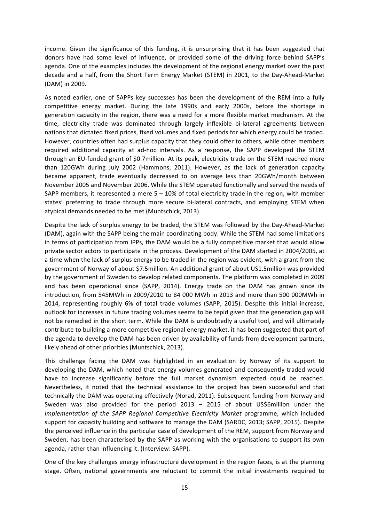income. Given the significance of this funding, it is unsurprising that it has been suggested that donors have had some level of influence, or provided some of the driving force behind SAPP's agenda. One of the examples includes the development of the regional energy market over the past decade and a half, from the Short Term Energy Market (STEM) in 2001, to the Day-Ahead-Market (DAM) in 2009.

As noted earlier, one of SAPPs key successes has been the development of the REM into a fully competitive energy market. During the late 1990s and early 2000s, before the shortage in generation capacity in the region, there was a need for a more flexible market mechanism. At the time, electricity trade was dominated through largely inflexible bi-lateral agreements between nations that dictated fixed prices, fixed volumes and fixed periods for which energy could be traded. However, countries often had surplus capacity that they could offer to others, while other members required additional capacity at ad-hoc intervals. As a response, the SAPP developed the STEM through an EU-funded grant of \$0.7million. At its peak, electricity trade on the STEM reached more than 120GWh during July 2002 (Hammons, 2011). However, as the lack of generation capacity became apparent, trade eventually decreased to on average less than 20GWh/month between November 2005 and November 2006. While the STEM operated functionally and served the needs of SAPP members, it represented a mere  $5 - 10%$  of total electricity trade in the region, with member states' preferring to trade through more secure bi-lateral contracts, and employing STEM when atypical demands needed to be met (Muntschick, 2013).

Despite the lack of surplus energy to be traded, the STEM was followed by the Day-Ahead-Market (DAM), again with the SAPP being the main coordinating body. While the STEM had some limitations in terms of participation from IPPs, the DAM would be a fully competitive market that would allow private sector actors to participate in the process. Development of the DAM started in 2004/2005, at a time when the lack of surplus energy to be traded in the region was evident, with a grant from the government of Norway of about \$7.5million. An additional grant of about US1.5million was provided by the government of Sweden to develop related components. The platform was completed in 2009 and has been operational since (SAPP, 2014). Energy trade on the DAM has grown since its introduction, from 545MWh in 2009/2010 to 84 000 MWh in 2013 and more than 500 000MWh in 2014, representing roughly 6% of total trade volumes (SAPP, 2015). Despite this initial increase, outlook for increases in future trading volumes seems to be tepid given that the generation gap will not be remedied in the short term. While the DAM is undoubtedly a useful tool, and will ultimately contribute to building a more competitive regional energy market, it has been suggested that part of the agenda to develop the DAM has been driven by availability of funds from development partners, likely ahead of other priorities (Muntschick, 2013).

This challenge facing the DAM was highlighted in an evaluation by Norway of its support to developing the DAM, which noted that energy volumes generated and consequently traded would have to increase significantly before the full market dynamism expected could be reached. Nevertheless, it noted that the technical assistance to the project has been successful and that technically the DAM was operating effectively (Norad, 2011). Subsequent funding from Norway and Sweden was also provided for the period  $2013 - 2015$  of about US\$6million under the *Implementation of the SAPP Regional Competitive Electricity Market programme, which included* support for capacity building and software to manage the DAM (SARDC, 2013; SAPP, 2015). Despite the perceived influence in the particular case of development of the REM, support from Norway and Sweden, has been characterised by the SAPP as working with the organisations to support its own agenda, rather than influencing it. (Interview: SAPP).

One of the key challenges energy infrastructure development in the region faces, is at the planning stage. Often, national governments are reluctant to commit the initial investments required to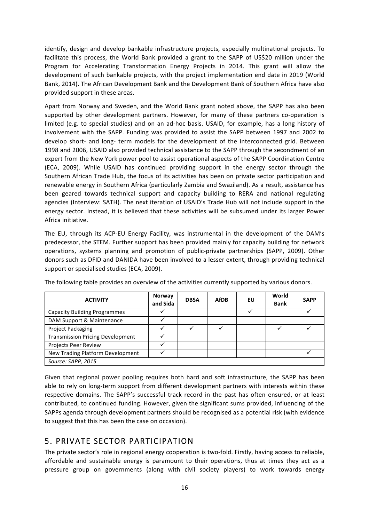identify, design and develop bankable infrastructure projects, especially multinational projects. To facilitate this process, the World Bank provided a grant to the SAPP of US\$20 million under the Program for Accelerating Transformation Energy Projects in 2014. This grant will allow the development of such bankable projects, with the project implementation end date in 2019 (World Bank, 2014). The African Development Bank and the Development Bank of Southern Africa have also provided support in these areas.

Apart from Norway and Sweden, and the World Bank grant noted above, the SAPP has also been supported by other development partners. However, for many of these partners co-operation is limited (e.g. to special studies) and on an ad-hoc basis. USAID, for example, has a long history of involvement with the SAPP. Funding was provided to assist the SAPP between 1997 and 2002 to develop short- and long- term models for the development of the interconnected grid. Between 1998 and 2006, USAID also provided technical assistance to the SAPP through the secondment of an expert from the New York power pool to assist operational aspects of the SAPP Coordination Centre (ECA, 2009). While USAID has continued providing support in the energy sector through the Southern African Trade Hub, the focus of its activities has been on private sector participation and renewable energy in Southern Africa (particularly Zambia and Swaziland). As a result, assistance has been geared towards technical support and capacity building to RERA and national regulating agencies (Interview: SATH). The next iteration of USAID's Trade Hub will not include support in the energy sector. Instead, it is believed that these activities will be subsumed under its larger Power Africa initiative.

The EU, through its ACP-EU Energy Facility, was instrumental in the development of the DAM's predecessor, the STEM. Further support has been provided mainly for capacity building for network operations, systems planning and promotion of public-private partnerships (SAPP, 2009). Other donors such as DFID and DANIDA have been involved to a lesser extent, through providing technical support or specialised studies (ECA, 2009).

| <b>ACTIVITY</b>                         | <b>Norway</b><br>and Sida | <b>DBSA</b> | <b>AfDB</b> | EU | World<br><b>Bank</b> | <b>SAPP</b> |
|-----------------------------------------|---------------------------|-------------|-------------|----|----------------------|-------------|
| <b>Capacity Building Programmes</b>     |                           |             |             |    |                      |             |
| DAM Support & Maintenance               |                           |             |             |    |                      |             |
| Project Packaging                       |                           |             |             |    |                      |             |
| <b>Transmission Pricing Development</b> |                           |             |             |    |                      |             |
| Projects Peer Review                    |                           |             |             |    |                      |             |
| New Trading Platform Development        |                           |             |             |    |                      |             |
| Source: SAPP, 2015                      |                           |             |             |    |                      |             |

The following table provides an overview of the activities currently supported by various donors.

Given that regional power pooling requires both hard and soft infrastructure, the SAPP has been able to rely on long-term support from different development partners with interests within these respective domains. The SAPP's successful track record in the past has often ensured, or at least contributed, to continued funding. However, given the significant sums provided, influencing of the SAPPs agenda through development partners should be recognised as a potential risk (with evidence to suggest that this has been the case on occasion).

## 5. PRIVATE SECTOR PARTICIPATION

The private sector's role in regional energy cooperation is two-fold. Firstly, having access to reliable, affordable and sustainable energy is paramount to their operations, thus at times they act as a pressure group on governments (along with civil society players) to work towards energy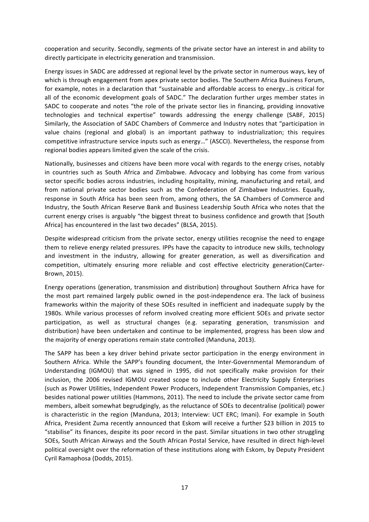cooperation and security. Secondly, segments of the private sector have an interest in and ability to directly participate in electricity generation and transmission.

Energy issues in SADC are addressed at regional level by the private sector in numerous ways, key of which is through engagement from apex private sector bodies. The Southern Africa Business Forum, for example, notes in a declaration that "sustainable and affordable access to energy...is critical for all of the economic development goals of SADC." The declaration further urges member states in SADC to cooperate and notes "the role of the private sector lies in financing, providing innovative technologies and technical expertise" towards addressing the energy challenge (SABF, 2015) Similarly, the Association of SADC Chambers of Commerce and Industry notes that "participation in value chains (regional and global) is an important pathway to industrialization; this requires competitive infrastructure service inputs such as energy..." (ASCCI). Nevertheless, the response from regional bodies appears limited given the scale of the crisis.

Nationally, businesses and citizens have been more vocal with regards to the energy crises, notably in countries such as South Africa and Zimbabwe. Advocacy and lobbying has come from various sector specific bodies across industries, including hospitality, mining, manufacturing and retail, and from national private sector bodies such as the Confederation of Zimbabwe Industries. Equally, response in South Africa has been seen from, among others, the SA Chambers of Commerce and Industry, the South African Reserve Bank and Business Leadership South Africa who notes that the current energy crises is arguably "the biggest threat to business confidence and growth that [South Africa] has encountered in the last two decades" (BLSA, 2015).

Despite widespread criticism from the private sector, energy utilities recognise the need to engage them to relieve energy related pressures. IPPs have the capacity to introduce new skills, technology and investment in the industry, allowing for greater generation, as well as diversification and competition, ultimately ensuring more reliable and cost effective electricity generation(Carter-Brown, 2015).

Energy operations (generation, transmission and distribution) throughout Southern Africa have for the most part remained largely public owned in the post-independence era. The lack of business frameworks within the majority of these SOEs resulted in inefficient and inadequate supply by the 1980s. While various processes of reform involved creating more efficient SOEs and private sector participation, as well as structural changes (e.g. separating generation, transmission and distribution) have been undertaken and continue to be implemented, progress has been slow and the majority of energy operations remain state controlled (Manduna, 2013).

The SAPP has been a key driver behind private sector participation in the energy environment in Southern Africa. While the SAPP's founding document, the Inter-Governmental Memorandum of Understanding (IGMOU) that was signed in 1995, did not specifically make provision for their inclusion, the 2006 revised IGMOU created scope to include other Electricity Supply Enterprises (such as Power Utilities, Independent Power Producers, Independent Transmission Companies, etc.) besides national power utilities (Hammons, 2011). The need to include the private sector came from members, albeit somewhat begrudgingly, as the reluctance of SOEs to decentralise (political) power is characteristic in the region (Manduna, 2013; Interview: UCT ERC; Imani). For example in South Africa, President Zuma recently announced that Eskom will receive a further \$23 billion in 2015 to "stabilise" its finances, despite its poor record in the past. Similar situations in two other struggling SOEs, South African Airways and the South African Postal Service, have resulted in direct high-level political oversight over the reformation of these institutions along with Eskom, by Deputy President Cyril Ramaphosa (Dodds, 2015).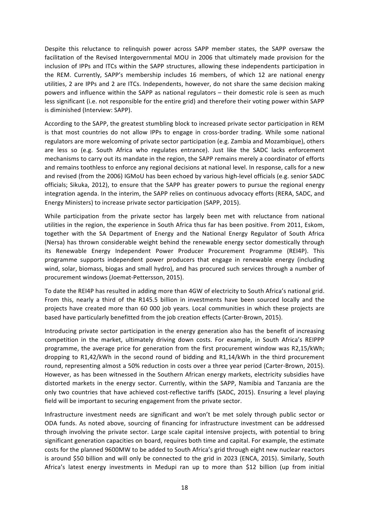Despite this reluctance to relinquish power across SAPP member states, the SAPP oversaw the facilitation of the Revised Intergovernmental MOU in 2006 that ultimately made provision for the inclusion of IPPs and ITCs within the SAPP structures, allowing these independents participation in the REM. Currently, SAPP's membership includes 16 members, of which 12 are national energy utilities, 2 are IPPs and 2 are ITCs. Independents, however, do not share the same decision making powers and influence within the SAPP as national regulators – their domestic role is seen as much less significant (i.e. not responsible for the entire grid) and therefore their voting power within SAPP is diminished (Interview: SAPP).

According to the SAPP, the greatest stumbling block to increased private sector participation in REM is that most countries do not allow IPPs to engage in cross-border trading. While some national regulators are more welcoming of private sector participation (e.g. Zambia and Mozambique), others are less so (e.g. South Africa who regulates entrance). Just like the SADC lacks enforcement mechanisms to carry out its mandate in the region, the SAPP remains merely a coordinator of efforts and remains toothless to enforce any regional decisions at national level. In response, calls for a new and revised (from the 2006) IGMoU has been echoed by various high-level officials (e.g. senior SADC officials; Sikuka, 2012), to ensure that the SAPP has greater powers to pursue the regional energy integration agenda. In the interim, the SAPP relies on continuous advocacy efforts (RERA, SADC, and Energy Ministers) to increase private sector participation (SAPP, 2015).

While participation from the private sector has largely been met with reluctance from national utilities in the region, the experience in South Africa thus far has been positive. From 2011, Eskom, together with the SA Department of Energy and the National Energy Regulator of South Africa (Nersa) has thrown considerable weight behind the renewable energy sector domestically through its Renewable Energy Independent Power Producer Procurement Programme (REI4P). This programme supports independent power producers that engage in renewable energy (including wind, solar, biomass, biogas and small hydro), and has procured such services through a number of procurement windows (Joemat-Pettersson, 2015).

To date the REI4P has resulted in adding more than 4GW of electricity to South Africa's national grid. From this, nearly a third of the R145.5 billion in investments have been sourced locally and the projects have created more than 60 000 job years. Local communities in which these projects are based have particularly benefitted from the job creation effects (Carter-Brown, 2015).

Introducing private sector participation in the energy generation also has the benefit of increasing competition in the market, ultimately driving down costs. For example, in South Africa's REIPPP programme, the average price for generation from the first procurement window was R2,15/kWh; dropping to  $R1,42/kWh$  in the second round of bidding and  $R1,14/kWh$  in the third procurement round, representing almost a 50% reduction in costs over a three year period (Carter-Brown, 2015). However, as has been witnessed in the Southern African energy markets, electricity subsidies have distorted markets in the energy sector. Currently, within the SAPP, Namibia and Tanzania are the only two countries that have achieved cost-reflective tariffs (SADC, 2015). Ensuring a level playing field will be important to securing engagement from the private sector.

Infrastructure investment needs are significant and won't be met solely through public sector or ODA funds. As noted above, sourcing of financing for infrastructure investment can be addressed through involving the private sector. Large scale capital intensive projects, with potential to bring significant generation capacities on board, requires both time and capital. For example, the estimate costs for the planned 9600MW to be added to South Africa's grid through eight new nuclear reactors is around \$50 billion and will only be connected to the grid in 2023 (ENCA, 2015). Similarly, South Africa's latest energy investments in Medupi ran up to more than \$12 billion (up from initial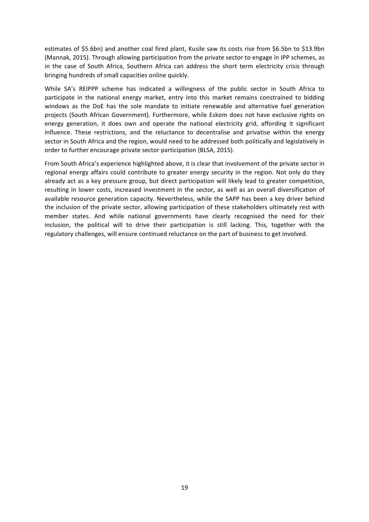estimates of \$5.6bn) and another coal fired plant, Kusile saw its costs rise from \$6.5bn to \$13.9bn (Mannak, 2015). Through allowing participation from the private sector to engage in IPP schemes, as in the case of South Africa, Southern Africa can address the short term electricity crisis through bringing hundreds of small capacities online quickly.

While SA's REIPPP scheme has indicated a willingness of the public sector in South Africa to participate in the national energy market, entry into this market remains constrained to bidding windows as the DoE has the sole mandate to initiate renewable and alternative fuel generation projects (South African Government). Furthermore, while Eskom does not have exclusive rights on energy generation, it does own and operate the national electricity grid, affording it significant influence. These restrictions, and the reluctance to decentralise and privatise within the energy sector in South Africa and the region, would need to be addressed both politically and legislatively in order to further encourage private sector participation (BLSA, 2015).

From South Africa's experience highlighted above, it is clear that involvement of the private sector in regional energy affairs could contribute to greater energy security in the region. Not only do they already act as a key pressure group, but direct participation will likely lead to greater competition, resulting in lower costs, increased investment in the sector, as well as an overall diversification of available resource generation capacity. Nevertheless, while the SAPP has been a key driver behind the inclusion of the private sector, allowing participation of these stakeholders ultimately rest with member states. And while national governments have clearly recognised the need for their inclusion, the political will to drive their participation is still lacking. This, together with the regulatory challenges, will ensure continued reluctance on the part of business to get involved.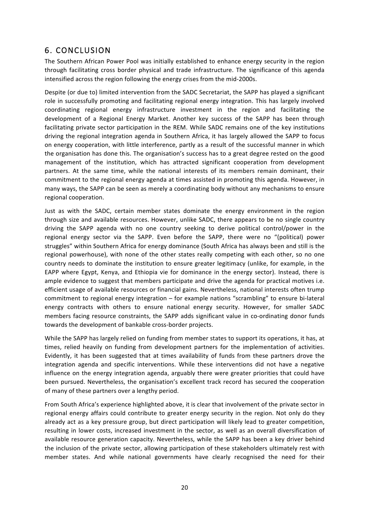## 6. CONCLUSION

The Southern African Power Pool was initially established to enhance energy security in the region through facilitating cross border physical and trade infrastructure. The significance of this agenda intensified across the region following the energy crises from the mid-2000s.

Despite (or due to) limited intervention from the SADC Secretariat, the SAPP has played a significant role in successfully promoting and facilitating regional energy integration. This has largely involved coordinating regional energy infrastructure investment in the region and facilitating the development of a Regional Energy Market. Another key success of the SAPP has been through facilitating private sector participation in the REM. While SADC remains one of the key institutions driving the regional integration agenda in Southern Africa, it has largely allowed the SAPP to focus on energy cooperation, with little interference, partly as a result of the successful manner in which the organisation has done this. The organisation's success has to a great degree rested on the good management of the institution, which has attracted significant cooperation from development partners. At the same time, while the national interests of its members remain dominant, their commitment to the regional energy agenda at times assisted in promoting this agenda. However, in many ways, the SAPP can be seen as merely a coordinating body without any mechanisms to ensure regional cooperation.

Just as with the SADC, certain member states dominate the energy environment in the region through size and available resources. However, unlike SADC, there appears to be no single country driving the SAPP agenda with no one country seeking to derive political control/power in the regional energy sector via the SAPP. Even before the SAPP, there were no "(political) power struggles" within Southern Africa for energy dominance (South Africa has always been and still is the regional powerhouse), with none of the other states really competing with each other, so no one country needs to dominate the institution to ensure greater legitimacy (unlike, for example, in the EAPP where Egypt, Kenya, and Ethiopia vie for dominance in the energy sector). Instead, there is ample evidence to suggest that members participate and drive the agenda for practical motives i.e. efficient usage of available resources or financial gains. Nevertheless, national interests often trump commitment to regional energy integration – for example nations "scrambling" to ensure bi-lateral energy contracts with others to ensure national energy security. However, for smaller SADC members facing resource constraints, the SAPP adds significant value in co-ordinating donor funds towards the development of bankable cross-border projects.

While the SAPP has largely relied on funding from member states to support its operations, it has, at times, relied heavily on funding from development partners for the implementation of activities. Evidently, it has been suggested that at times availability of funds from these partners drove the integration agenda and specific interventions. While these interventions did not have a negative influence on the energy integration agenda, arguably there were greater priorities that could have been pursued. Nevertheless, the organisation's excellent track record has secured the cooperation of many of these partners over a lengthy period.

From South Africa's experience highlighted above, it is clear that involvement of the private sector in regional energy affairs could contribute to greater energy security in the region. Not only do they already act as a key pressure group, but direct participation will likely lead to greater competition, resulting in lower costs, increased investment in the sector, as well as an overall diversification of available resource generation capacity. Nevertheless, while the SAPP has been a key driver behind the inclusion of the private sector, allowing participation of these stakeholders ultimately rest with member states. And while national governments have clearly recognised the need for their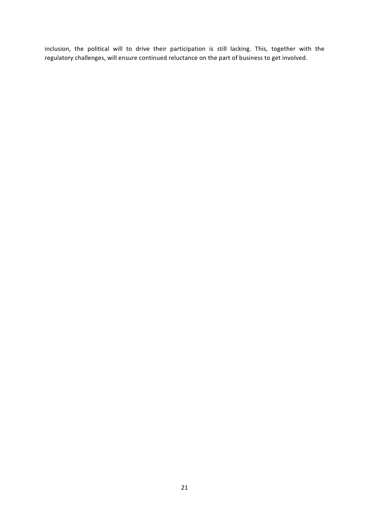inclusion, the political will to drive their participation is still lacking. This, together with the regulatory challenges, will ensure continued reluctance on the part of business to get involved.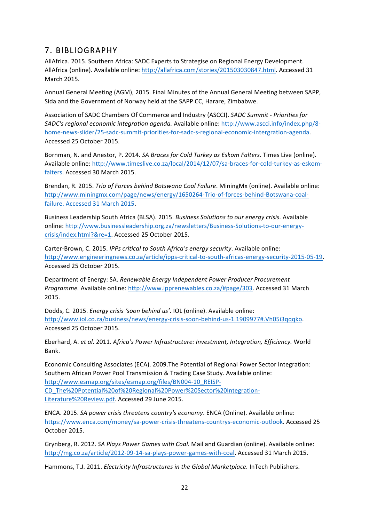# 7. BIBLIOGRAPHY

AllAfrica. 2015. Southern Africa: SADC Experts to Strategise on Regional Energy Development. AllAfrica (online). Available online: http://allafrica.com/stories/201503030847.html. Accessed 31 March 2015.

Annual General Meeting (AGM), 2015. Final Minutes of the Annual General Meeting between SAPP, Sida and the Government of Norway held at the SAPP CC, Harare, Zimbabwe.

Association of SADC Chambers Of Commerce and Industry (ASCCI). *SADC Summit - Priorities for* **SADC's regional economic integration agenda.** Available online: http://www.ascci.info/index.php/8home-news-slider/25-sadc-summit-priorities-for-sadc-s-regional-economic-intergration-agenda. Accessed 25 October 2015.

Bornman, N. and Anestor, P. 2014. *SA Braces for Cold Turkey as Eskom Falters*. Times Live (online). Available online: http://www.timeslive.co.za/local/2014/12/07/sa-braces-for-cold-turkey-as-eskomfalters. Accessed 30 March 2015.

Brendan, R. 2015. *Trio of Forces behind Botswana Coal Failure*. MiningMx (online). Available online: http://www.miningmx.com/page/news/energy/1650264-Trio-of-forces-behind-Botswana-coalfailure. Accessed 31 March 2015.

Business Leadership South Africa (BLSA). 2015. *Business Solutions to our energy crisis*. Available online: http://www.businessleadership.org.za/newsletters/Business-Solutions-to-our-energycrisis/index.html?&re=1. Accessed 25 October 2015.

Carter-Brown, C. 2015. *IPPs critical to South Africa's energy security*. Available online: http://www.engineeringnews.co.za/article/ipps-critical-to-south-africas-energy-security-2015-05-19. Accessed 25 October 2015.

Department of Energy: SA. *Renewable Energy Independent Power Producer Procurement Programme.* Available online: http://www.ipprenewables.co.za/#page/303. Accessed 31 March 2015.

Dodds, C. 2015. *Energy crisis 'soon behind us'.* IOL (online). Available online: http://www.iol.co.za/business/news/energy-crisis-soon-behind-us-1.1909977#.Vh05i3qqqko. Accessed 25 October 2015.

Eberhard, A. et al. 2011. Africa's Power Infrastructure: Investment, Integration, Efficiency. World Bank.

Economic Consulting Associates (ECA). 2009. The Potential of Regional Power Sector Integration: Southern African Power Pool Transmission & Trading Case Study. Available online: http://www.esmap.org/sites/esmap.org/files/BN004-10\_REISP-CD\_The%20Potential%20of%20Regional%20Power%20Sector%20Integration-Literature%20Review.pdf. Accessed 29 June 2015.

ENCA. 2015. *SA power crisis threatens country's economy*. ENCA (Online). Available online: https://www.enca.com/money/sa-power-crisis-threatens-countrys-economic-outlook. Accessed 25 October 2015.

Grynberg, R. 2012. *SA Plays Power Games with Coal.* Mail and Guardian (online). Available online: http://mg.co.za/article/2012-09-14-sa-plays-power-games-with-coal. Accessed 31 March 2015.

Hammons, T.J. 2011. *Electricity Infrastructures in the Global Marketplace*. InTech Publishers.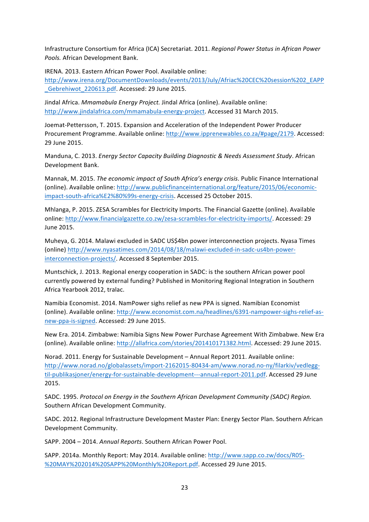Infrastructure Consortium for Africa (ICA) Secretariat. 2011. *Regional Power Status in African Power* Pools. African Development Bank.

IRENA. 2013. Eastern African Power Pool. Available online:

http://www.irena.org/DocumentDownloads/events/2013/July/Afriac%20CEC%20session%202\_EAPP Gebrehiwot 220613.pdf. Accessed: 29 June 2015.

Jindal Africa. *Mmamabula Energy Project.* Jindal Africa (online). Available online: http://www.jindalafrica.com/mmamabula-energy-project. Accessed 31 March 2015.

Joemat-Pettersson, T. 2015. Expansion and Acceleration of the Independent Power Producer Procurement Programme. Available online: http://www.ipprenewables.co.za/#page/2179. Accessed: 29 June 2015.

Manduna, C. 2013. *Energy Sector Capacity Building Diagnostic & Needs Assessment Study*. African Development Bank.

Mannak, M. 2015. *The economic impact of South Africa's energy crisis*. Public Finance International (online). Available online: http://www.publicfinanceinternational.org/feature/2015/06/economicimpact-south-africa%E2%80%99s-energy-crisis. Accessed 25 October 2015.

Mhlanga, P. 2015. ZESA Scrambles for Electricity Imports. The Financial Gazette (online). Available online: http://www.financialgazette.co.zw/zesa-scrambles-for-electricity-imports/. Accessed: 29 June 2015.

Muheya, G. 2014. Malawi excluded in SADC US\$4bn power interconnection projects. Nyasa Times (online) http://www.nyasatimes.com/2014/08/18/malawi-excluded-in-sadc-us4bn-powerinterconnection-projects/. Accessed 8 September 2015.

Muntschick, J. 2013. Regional energy cooperation in SADC: is the southern African power pool currently powered by external funding? Published in Monitoring Regional Integration in Southern Africa Yearbook 2012, tralac.

Namibia Economist. 2014. NamPower sighs relief as new PPA is signed. Namibian Economist (online). Available online: http://www.economist.com.na/headlines/6391-nampower-sighs-relief-asnew-ppa-is-signed. Accessed: 29 June 2015.

New Era. 2014. Zimbabwe: Namibia Signs New Power Purchase Agreement With Zimbabwe. New Era (online). Available online: http://allafrica.com/stories/201410171382.html. Accessed: 29 June 2015.

Norad. 2011. Energy for Sustainable Development - Annual Report 2011. Available online: http://www.norad.no/globalassets/import-2162015-80434-am/www.norad.no-ny/filarkiv/vedleggtil-publikasjoner/energy-for-sustainable-development---annual-report-2011.pdf. Accessed 29 June 2015.

SADC. 1995. *Protocol on Energy in the Southern African Development Community (SADC) Region.* Southern African Development Community.

SADC. 2012. Regional Infrastructure Development Master Plan: Energy Sector Plan. Southern African Development Community.

SAPP. 2004 - 2014. Annual Reports. Southern African Power Pool.

SAPP. 2014a. Monthly Report: May 2014. Available online: http://www.sapp.co.zw/docs/R05-%20MAY%202014%20SAPP%20Monthly%20Report.pdf. Accessed 29 June 2015.